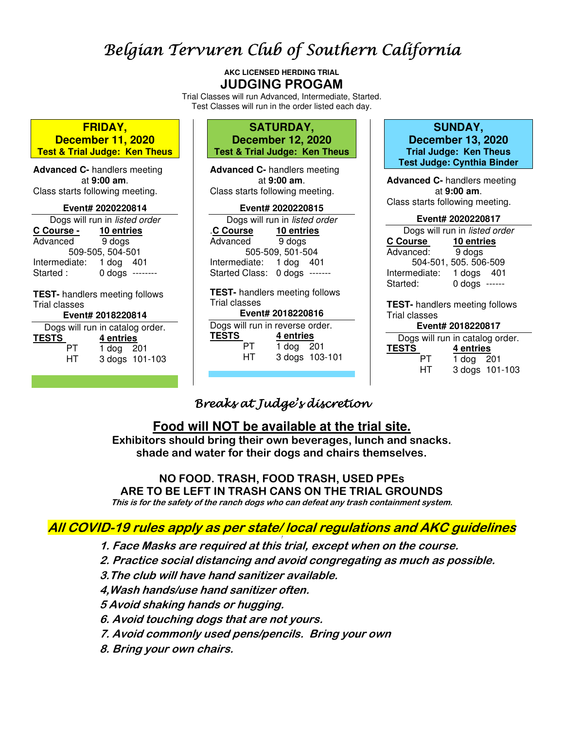# Belgian Tervuren Club of Southern California

**AKC LICENSED HERDING TRIAL JUDGING PROGAM**

Trial Classes will run Advanced, Intermediate, Started. Test Classes will run in the order listed each day.

| <b>FRIDAY,</b><br><b>December 11, 2020</b><br><b>Test &amp; Trial Judge: Ken Theus</b>                                                                                                         | <b>SATURDAY,</b><br><b>December 12, 2020</b><br><b>Test &amp; Trial Judge: Ken Theus</b>                                                                                                                                                                                                                                                                                                                            | <b>SUNDAY,</b><br><b>December 13, 2020</b><br><b>Trial Judge: Ken Theus</b><br><b>Test Judge: Cynthia Binder</b>                                                                                 |  |
|------------------------------------------------------------------------------------------------------------------------------------------------------------------------------------------------|---------------------------------------------------------------------------------------------------------------------------------------------------------------------------------------------------------------------------------------------------------------------------------------------------------------------------------------------------------------------------------------------------------------------|--------------------------------------------------------------------------------------------------------------------------------------------------------------------------------------------------|--|
| <b>Advanced C-</b> handlers meeting<br>at 9:00 am.<br>Class starts following meeting.<br>Event# 2020220814<br>Dogs will run in listed order                                                    | <b>Advanced C-</b> handlers meeting<br>at 9:00 am.<br>Class starts following meeting.<br>Event# 2020220815<br>Dogs will run in listed order                                                                                                                                                                                                                                                                         | <b>Advanced C- handlers meeting</b><br>at 9:00 am.<br>Class starts following meeting.<br>Event# 2020220817                                                                                       |  |
| 10 entries<br>C Course -<br>9 dogs<br>Advanced<br>509-505, 504-501<br>Intermediate: 1 dog 401<br>$0$ dogs --------<br>Started :                                                                | 10 entries<br><b>C Course</b><br>9 dogs<br>Advanced<br>505-509, 501-504<br>Intermediate: 1 dog 401<br>Started Class: 0 dogs -------                                                                                                                                                                                                                                                                                 | Dogs will run in listed order<br>C Course<br>10 entries<br>Advanced:<br>9 dogs<br>504-501, 505. 506-509<br>Intermediate:<br>1 dogs 401<br>$0$ dogs ------<br>Started:                            |  |
| <b>TEST-</b> handlers meeting follows<br>Trial classes<br>Event# 2018220814<br>Dogs will run in catalog order.<br><b>TESTS</b><br>4 entries<br><b>PT</b><br>1 dog 201<br>HT.<br>3 dogs 101-103 | <b>TEST-</b> handlers meeting follows<br>Trial classes<br>Event# 2018220816<br>Dogs will run in reverse order.<br><b>TESTS</b><br>4 entries<br>PT and the post of the content of the content of the content of the content of the content of the content of the content of the content of the content of the content of the content of the content of the content of the cont<br>1 dog 201<br>HT.<br>3 dogs 103-101 | <b>TEST-</b> handlers meeting follows<br>Trial classes<br>Event# 2018220817<br>Dogs will run in catalog order.<br>TEST <u>S</u><br>4 entries<br><b>PT</b><br>1 dog 201<br>HT –<br>3 dogs 101-103 |  |

## Breaks at Judge's discretion

## **Food will NOT be available at the trial site.**

**Exhibitors should bring their own beverages, lunch and snacks. shade and water for their dogs and chairs themselves.** 

## **NO FOOD. TRASH, FOOD TRASH, USED PPEs ARE TO BE LEFT IN TRASH CANS ON THE TRIAL GROUNDS**

**This is for the safety of the ranch dogs who can defeat any trash containment system.** 

#### **All COVID-19 rules apply as per state/ local regulations and AKC guidelines !**

**1. Face Masks are required at this trial, except when on the course.** 

**2. Practice social distancing and avoid congregating as much as possible.** 

- **3.The club will have hand sanitizer available.**
- **4,Wash hands/use hand sanitizer often.**
- **5 Avoid shaking hands or hugging.**
- **6. Avoid touching dogs that are not yours.**
- **7. Avoid commonly used pens/pencils. Bring your own**
- **8. Bring your own chairs.**